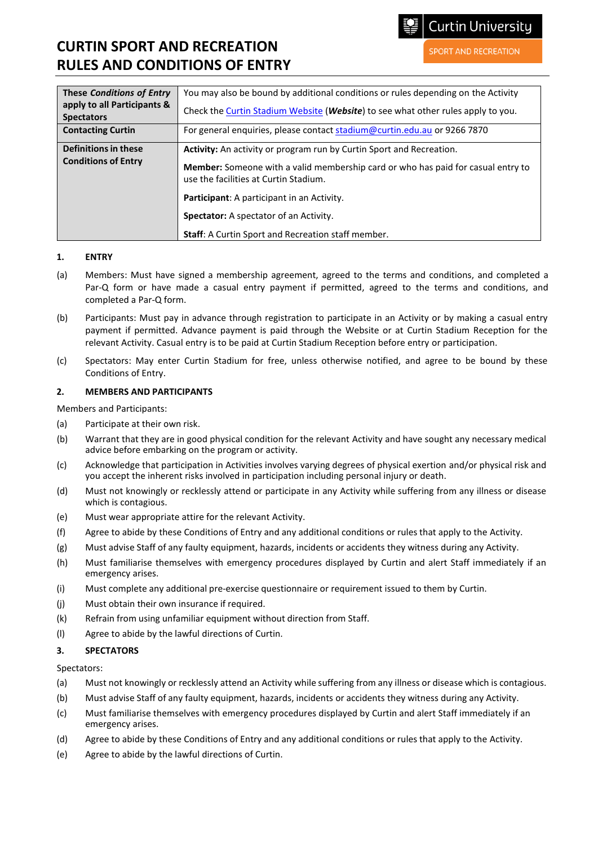**Curtin University** 

**SPORT AND RECREATION** 

## **CURTIN SPORT AND RECREATION RULES AND CONDITIONS OF ENTRY**

| <b>These Conditions of Entry</b><br>apply to all Participants &<br><b>Spectators</b> | You may also be bound by additional conditions or rules depending on the Activity<br>Check the Curtin Stadium Website (Website) to see what other rules apply to you.                                                                                  |
|--------------------------------------------------------------------------------------|--------------------------------------------------------------------------------------------------------------------------------------------------------------------------------------------------------------------------------------------------------|
| <b>Contacting Curtin</b>                                                             | For general enquiries, please contact stadium@curtin.edu.au or 9266 7870                                                                                                                                                                               |
| Definitions in these<br><b>Conditions of Entry</b>                                   | Activity: An activity or program run by Curtin Sport and Recreation.<br><b>Member:</b> Someone with a valid membership card or who has paid for casual entry to<br>use the facilities at Curtin Stadium.<br>Participant: A participant in an Activity. |
|                                                                                      | <b>Spectator:</b> A spectator of an Activity.<br>Staff: A Curtin Sport and Recreation staff member.                                                                                                                                                    |

## **1. ENTRY**

- (a) Members: Must have signed a membership agreement, agreed to the terms and conditions, and completed a Par-Q form or have made a casual entry payment if permitted, agreed to the terms and conditions, and completed a Par-Q form.
- (b) Participants: Must pay in advance through registration to participate in an Activity or by making a casual entry payment if permitted. Advance payment is paid through the Website or at Curtin Stadium Reception for the relevant Activity. Casual entry is to be paid at Curtin Stadium Reception before entry or participation.
- (c) Spectators: May enter Curtin Stadium for free, unless otherwise notified, and agree to be bound by these Conditions of Entry.

### **2. MEMBERS AND PARTICIPANTS**

Members and Participants:

- (a) Participate at their own risk.
- (b) Warrant that they are in good physical condition for the relevant Activity and have sought any necessary medical advice before embarking on the program or activity.
- (c) Acknowledge that participation in Activities involves varying degrees of physical exertion and/or physical risk and you accept the inherent risks involved in participation including personal injury or death.
- (d) Must not knowingly or recklessly attend or participate in any Activity while suffering from any illness or disease which is contagious.
- (e) Must wear appropriate attire for the relevant Activity.
- (f) Agree to abide by these Conditions of Entry and any additional conditions or rules that apply to the Activity.
- (g) Must advise Staff of any faulty equipment, hazards, incidents or accidents they witness during any Activity.
- (h) Must familiarise themselves with emergency procedures displayed by Curtin and alert Staff immediately if an emergency arises.
- (i) Must complete any additional pre-exercise questionnaire or requirement issued to them by Curtin.
- (j) Must obtain their own insurance if required.
- (k) Refrain from using unfamiliar equipment without direction from Staff.
- (l) Agree to abide by the lawful directions of Curtin.

## **3. SPECTATORS**

#### Spectators:

- (a) Must not knowingly or recklessly attend an Activity while suffering from any illness or disease which is contagious.
- (b) Must advise Staff of any faulty equipment, hazards, incidents or accidents they witness during any Activity.
- (c) Must familiarise themselves with emergency procedures displayed by Curtin and alert Staff immediately if an emergency arises.
- (d) Agree to abide by these Conditions of Entry and any additional conditions or rules that apply to the Activity.
- (e) Agree to abide by the lawful directions of Curtin.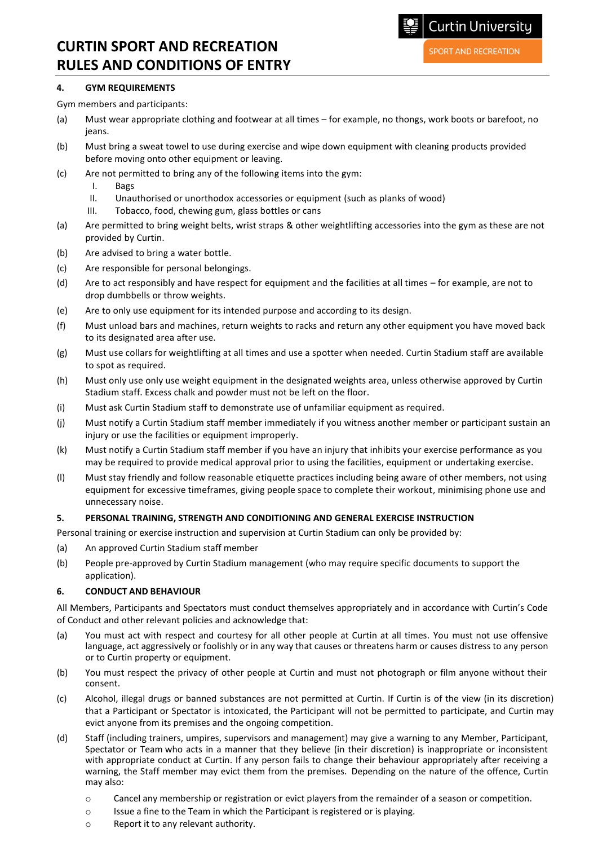## **CURTIN SPORT AND RECREATION RULES AND CONDITIONS OF ENTRY**

## **4. GYM REQUIREMENTS**

- Gym members and participants:
- (a) Must wear appropriate clothing and footwear at all times for example, no thongs, work boots or barefoot, no jeans.
- (b) Must bring a sweat towel to use during exercise and wipe down equipment with cleaning products provided before moving onto other equipment or leaving.
- (c) Are not permitted to bring any of the following items into the gym:
	- I. Bags
	- II. Unauthorised or unorthodox accessories or equipment (such as planks of wood)
	- III. Tobacco, food, chewing gum, glass bottles or cans
- (a) Are permitted to bring weight belts, wrist straps & other weightlifting accessories into the gym as these are not provided by Curtin.
- (b) Are advised to bring a water bottle.
- (c) Are responsible for personal belongings.
- (d) Are to act responsibly and have respect for equipment and the facilities at all times for example, are not to drop dumbbells or throw weights.
- (e) Are to only use equipment for its intended purpose and according to its design.
- (f) Must unload bars and machines, return weights to racks and return any other equipment you have moved back to its designated area after use.
- (g) Must use collars for weightlifting at all times and use a spotter when needed. Curtin Stadium staff are available to spot as required.
- (h) Must only use only use weight equipment in the designated weights area, unless otherwise approved by Curtin Stadium staff. Excess chalk and powder must not be left on the floor.
- (i) Must ask Curtin Stadium staff to demonstrate use of unfamiliar equipment as required.
- (j) Must notify a Curtin Stadium staff member immediately if you witness another member or participant sustain an injury or use the facilities or equipment improperly.
- (k) Must notify a Curtin Stadium staff member if you have an injury that inhibits your exercise performance as you may be required to provide medical approval prior to using the facilities, equipment or undertaking exercise.
- (l) Must stay friendly and follow reasonable etiquette practices including being aware of other members, not using equipment for excessive timeframes, giving people space to complete their workout, minimising phone use and unnecessary noise.

## **5. PERSONAL TRAINING, STRENGTH AND CONDITIONING AND GENERAL EXERCISE INSTRUCTION**

Personal training or exercise instruction and supervision at Curtin Stadium can only be provided by:

- (a) An approved Curtin Stadium staff member
- (b) People pre-approved by Curtin Stadium management (who may require specific documents to support the application).

## **6. CONDUCT AND BEHAVIOUR**

All Members, Participants and Spectators must conduct themselves appropriately and in accordance with Curtin's Code of Conduct and other relevant policies and acknowledge that:

- (a) You must act with respect and courtesy for all other people at Curtin at all times. You must not use offensive language, act aggressively or foolishly or in any way that causes or threatens harm or causes distress to any person or to Curtin property or equipment.
- (b) You must respect the privacy of other people at Curtin and must not photograph or film anyone without their consent.
- (c) Alcohol, illegal drugs or banned substances are not permitted at Curtin. If Curtin is of the view (in its discretion) that a Participant or Spectator is intoxicated, the Participant will not be permitted to participate, and Curtin may evict anyone from its premises and the ongoing competition.
- (d) Staff (including trainers, umpires, supervisors and management) may give a warning to any Member, Participant, Spectator or Team who acts in a manner that they believe (in their discretion) is inappropriate or inconsistent with appropriate conduct at Curtin. If any person fails to change their behaviour appropriately after receiving a warning, the Staff member may evict them from the premises. Depending on the nature of the offence, Curtin may also:
	- o Cancel any membership or registration or evict players from the remainder of a season or competition.
	- $\circ$  Issue a fine to the Team in which the Participant is registered or is playing.
	- o Report it to any relevant authority.

**SPORT AND RECREATION** 

**Curtin University**